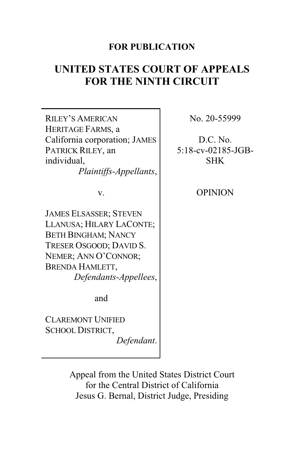# **FOR PUBLICATION**

# **UNITED STATES COURT OF APPEALS FOR THE NINTH CIRCUIT**

| RILEY'S AMERICAN<br>HERITAGE FARMS, a<br>California corporation; JAMES<br>PATRICK RILEY, an<br>individual,<br>Plaintiffs-Appellants,                                                   |  |
|----------------------------------------------------------------------------------------------------------------------------------------------------------------------------------------|--|
| v.                                                                                                                                                                                     |  |
| JAMES ELSASSER; STEVEN<br>LLANUSA; HILARY LACONTE;<br><b>BETH BINGHAM; NANCY</b><br>TRESER OSGOOD; DAVID S.<br>NEMER; ANN O'CONNOR;<br><b>BRENDA HAMLETT,</b><br>Defendants-Appellees, |  |
| and                                                                                                                                                                                    |  |
| <b>CLAREMONT UNIFIED</b><br>SCHOOL DISTRICT,<br>Defendant.                                                                                                                             |  |

No. 20-55999

D.C. No. 5:18-cv-02185-JGB-SHK

OPINION

Appeal from the United States District Court for the Central District of California Jesus G. Bernal, District Judge, Presiding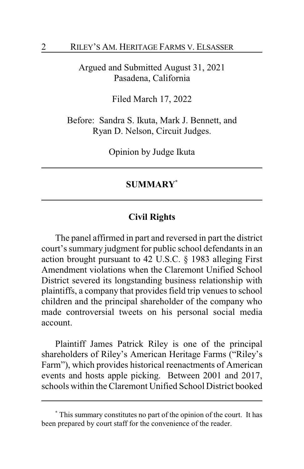Argued and Submitted August 31, 2021 Pasadena, California

Filed March 17, 2022

Before: Sandra S. Ikuta, Mark J. Bennett, and Ryan D. Nelson, Circuit Judges.

Opinion by Judge Ikuta

# **SUMMARY\***

# **Civil Rights**

The panel affirmed in part and reversed in part the district court's summary judgment for public school defendants in an action brought pursuant to 42 U.S.C. § 1983 alleging First Amendment violations when the Claremont Unified School District severed its longstanding business relationship with plaintiffs, a company that provides field trip venues to school children and the principal shareholder of the company who made controversial tweets on his personal social media account.

Plaintiff James Patrick Riley is one of the principal shareholders of Riley's American Heritage Farms ("Riley's Farm"), which provides historical reenactments of American events and hosts apple picking. Between 2001 and 2017, schools within the Claremont Unified School District booked

**<sup>\*</sup>** This summary constitutes no part of the opinion of the court. It has been prepared by court staff for the convenience of the reader.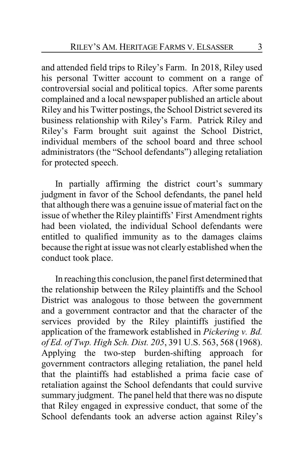and attended field trips to Riley's Farm. In 2018, Riley used his personal Twitter account to comment on a range of controversial social and political topics. After some parents complained and a local newspaper published an article about Riley and his Twitter postings, the School District severed its business relationship with Riley's Farm. Patrick Riley and Riley's Farm brought suit against the School District, individual members of the school board and three school administrators (the "School defendants") alleging retaliation for protected speech.

In partially affirming the district court's summary judgment in favor of the School defendants, the panel held that although there was a genuine issue of material fact on the issue of whether the Riley plaintiffs' First Amendment rights had been violated, the individual School defendants were entitled to qualified immunity as to the damages claims because the right at issue was not clearly established when the conduct took place.

In reaching this conclusion, the panel first determined that the relationship between the Riley plaintiffs and the School District was analogous to those between the government and a government contractor and that the character of the services provided by the Riley plaintiffs justified the application of the framework established in *Pickering v. Bd. of Ed. of Twp. High Sch. Dist. 205*, 391 U.S. 563, 568 (1968). Applying the two-step burden-shifting approach for government contractors alleging retaliation, the panel held that the plaintiffs had established a prima facie case of retaliation against the School defendants that could survive summary judgment. The panel held that there was no dispute that Riley engaged in expressive conduct, that some of the School defendants took an adverse action against Riley's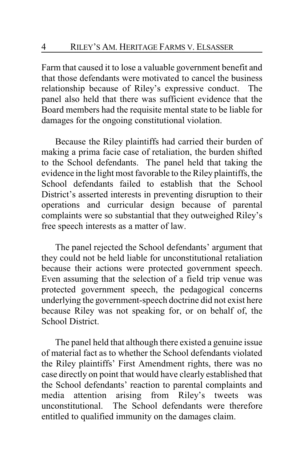Farm that caused it to lose a valuable government benefit and that those defendants were motivated to cancel the business relationship because of Riley's expressive conduct. The panel also held that there was sufficient evidence that the Board members had the requisite mental state to be liable for damages for the ongoing constitutional violation.

Because the Riley plaintiffs had carried their burden of making a prima facie case of retaliation, the burden shifted to the School defendants. The panel held that taking the evidence in the light most favorable to the Riley plaintiffs, the School defendants failed to establish that the School District's asserted interests in preventing disruption to their operations and curricular design because of parental complaints were so substantial that they outweighed Riley's free speech interests as a matter of law.

The panel rejected the School defendants' argument that they could not be held liable for unconstitutional retaliation because their actions were protected government speech. Even assuming that the selection of a field trip venue was protected government speech, the pedagogical concerns underlying the government-speech doctrine did not exist here because Riley was not speaking for, or on behalf of, the School District.

The panel held that although there existed a genuine issue of material fact as to whether the School defendants violated the Riley plaintiffs' First Amendment rights, there was no case directly on point that would have clearly established that the School defendants' reaction to parental complaints and media attention arising from Riley's tweets was unconstitutional. The School defendants were therefore entitled to qualified immunity on the damages claim.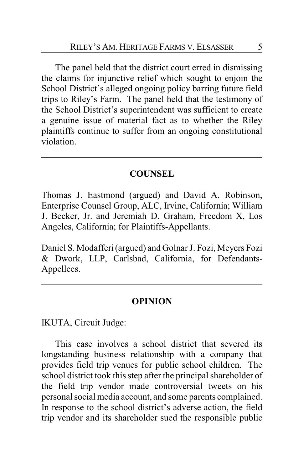The panel held that the district court erred in dismissing the claims for injunctive relief which sought to enjoin the School District's alleged ongoing policy barring future field trips to Riley's Farm. The panel held that the testimony of the School District's superintendent was sufficient to create a genuine issue of material fact as to whether the Riley plaintiffs continue to suffer from an ongoing constitutional violation.

# **COUNSEL**

Thomas J. Eastmond (argued) and David A. Robinson, Enterprise Counsel Group, ALC, Irvine, California; William J. Becker, Jr. and Jeremiah D. Graham, Freedom X, Los Angeles, California; for Plaintiffs-Appellants.

Daniel S. Modafferi (argued) and Golnar J. Fozi, Meyers Fozi & Dwork, LLP, Carlsbad, California, for Defendants-Appellees.

# **OPINION**

IKUTA, Circuit Judge:

This case involves a school district that severed its longstanding business relationship with a company that provides field trip venues for public school children. The school district took this step after the principal shareholder of the field trip vendor made controversial tweets on his personal social media account, and some parents complained. In response to the school district's adverse action, the field trip vendor and its shareholder sued the responsible public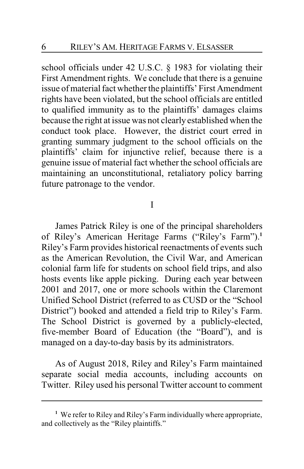school officials under 42 U.S.C. § 1983 for violating their First Amendment rights. We conclude that there is a genuine issue of material fact whether the plaintiffs' First Amendment rights have been violated, but the school officials are entitled to qualified immunity as to the plaintiffs' damages claims because the right at issue was not clearly established when the conduct took place. However, the district court erred in granting summary judgment to the school officials on the plaintiffs' claim for injunctive relief, because there is a genuine issue of material fact whether the school officials are maintaining an unconstitutional, retaliatory policy barring future patronage to the vendor.

## I

James Patrick Riley is one of the principal shareholders of Riley's American Heritage Farms ("Riley's Farm").**<sup>1</sup>** Riley's Farm provides historical reenactments of events such as the American Revolution, the Civil War, and American colonial farm life for students on school field trips, and also hosts events like apple picking. During each year between 2001 and 2017, one or more schools within the Claremont Unified School District (referred to as CUSD or the "School District") booked and attended a field trip to Riley's Farm. The School District is governed by a publicly-elected, five-member Board of Education (the "Board"), and is managed on a day-to-day basis by its administrators.

As of August 2018, Riley and Riley's Farm maintained separate social media accounts, including accounts on Twitter. Riley used his personal Twitter account to comment

**<sup>1</sup>** We refer to Riley and Riley's Farm individually where appropriate, and collectively as the "Riley plaintiffs."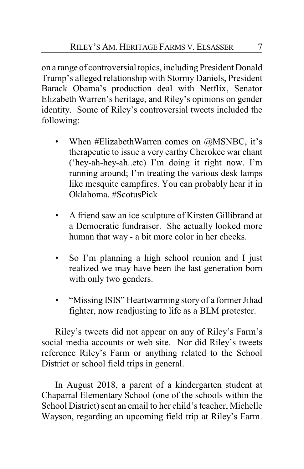on a range of controversial topics, including President Donald Trump's alleged relationship with Stormy Daniels, President Barack Obama's production deal with Netflix, Senator Elizabeth Warren's heritage, and Riley's opinions on gender identity. Some of Riley's controversial tweets included the following:

- When #ElizabethWarren comes on @MSNBC, it's therapeutic to issue a very earthy Cherokee war chant ('hey-ah-hey-ah..etc) I'm doing it right now. I'm running around; I'm treating the various desk lamps like mesquite campfires. You can probably hear it in Oklahoma. #ScotusPick
- A friend saw an ice sculpture of Kirsten Gillibrand at a Democratic fundraiser. She actually looked more human that way - a bit more color in her cheeks.
- So I'm planning a high school reunion and I just realized we may have been the last generation born with only two genders.
- "Missing ISIS" Heartwarming story of a former Jihad fighter, now readjusting to life as a BLM protester.

Riley's tweets did not appear on any of Riley's Farm's social media accounts or web site. Nor did Riley's tweets reference Riley's Farm or anything related to the School District or school field trips in general.

In August 2018, a parent of a kindergarten student at Chaparral Elementary School (one of the schools within the School District) sent an email to her child's teacher, Michelle Wayson, regarding an upcoming field trip at Riley's Farm.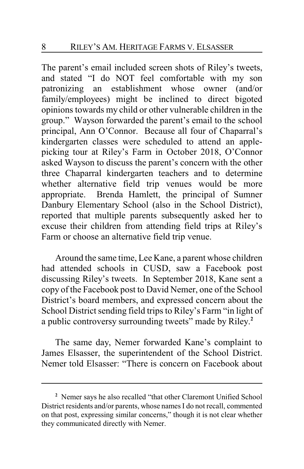The parent's email included screen shots of Riley's tweets, and stated "I do NOT feel comfortable with my son patronizing an establishment whose owner (and/or family/employees) might be inclined to direct bigoted opinions towards my child or other vulnerable children in the group." Wayson forwarded the parent's email to the school principal, Ann O'Connor. Because all four of Chaparral's kindergarten classes were scheduled to attend an applepicking tour at Riley's Farm in October 2018, O'Connor asked Wayson to discuss the parent's concern with the other three Chaparral kindergarten teachers and to determine whether alternative field trip venues would be more appropriate. Brenda Hamlett, the principal of Sumner Danbury Elementary School (also in the School District), reported that multiple parents subsequently asked her to excuse their children from attending field trips at Riley's Farm or choose an alternative field trip venue.

Around the same time, Lee Kane, a parent whose children had attended schools in CUSD, saw a Facebook post discussing Riley's tweets. In September 2018, Kane sent a copy of the Facebook post to David Nemer, one of the School District's board members, and expressed concern about the School District sending field trips to Riley's Farm "in light of a public controversy surrounding tweets" made by Riley. **2**

The same day, Nemer forwarded Kane's complaint to James Elsasser, the superintendent of the School District. Nemer told Elsasser: "There is concern on Facebook about

**<sup>2</sup>** Nemer says he also recalled "that other Claremont Unified School District residents and/or parents, whose names I do not recall, commented on that post, expressing similar concerns," though it is not clear whether they communicated directly with Nemer.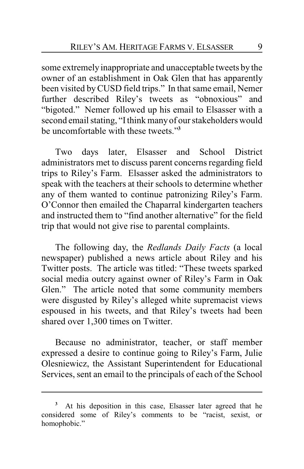some extremely inappropriate and unacceptable tweets by the owner of an establishment in Oak Glen that has apparently been visited byCUSD field trips." In that same email, Nemer further described Riley's tweets as "obnoxious" and "bigoted." Nemer followed up his email to Elsasser with a second email stating, "Ithink many of our stakeholders would be uncomfortable with these tweets."**<sup>3</sup>**

Two days later, Elsasser and School District administrators met to discuss parent concerns regarding field trips to Riley's Farm. Elsasser asked the administrators to speak with the teachers at their schools to determine whether any of them wanted to continue patronizing Riley's Farm. O'Connor then emailed the Chaparral kindergarten teachers and instructed them to "find another alternative" for the field trip that would not give rise to parental complaints.

The following day, the *Redlands Daily Facts* (a local newspaper) published a news article about Riley and his Twitter posts. The article was titled: "These tweets sparked social media outcry against owner of Riley's Farm in Oak Glen." The article noted that some community members were disgusted by Riley's alleged white supremacist views espoused in his tweets, and that Riley's tweets had been shared over 1,300 times on Twitter.

Because no administrator, teacher, or staff member expressed a desire to continue going to Riley's Farm, Julie Olesniewicz, the Assistant Superintendent for Educational Services, sent an email to the principals of each of the School

**<sup>3</sup>** At his deposition in this case, Elsasser later agreed that he considered some of Riley's comments to be "racist, sexist, or homophobic."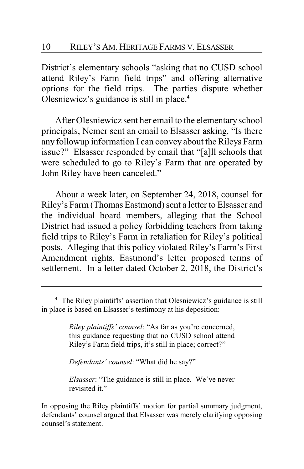District's elementary schools "asking that no CUSD school attend Riley's Farm field trips" and offering alternative options for the field trips. The parties dispute whether Olesniewicz's guidance is still in place.**<sup>4</sup>**

After Olesniewicz sent her email to the elementaryschool principals, Nemer sent an email to Elsasser asking, "Is there any followup information I can convey about the Rileys Farm issue?" Elsasser responded by email that "[a]ll schools that were scheduled to go to Riley's Farm that are operated by John Riley have been canceled."

About a week later, on September 24, 2018, counsel for Riley's Farm (Thomas Eastmond) sent a letter to Elsasser and the individual board members, alleging that the School District had issued a policy forbidding teachers from taking field trips to Riley's Farm in retaliation for Riley's political posts. Alleging that this policy violated Riley's Farm's First Amendment rights, Eastmond's letter proposed terms of settlement. In a letter dated October 2, 2018, the District's

*Riley plaintiffs' counsel*: "As far as you're concerned, this guidance requesting that no CUSD school attend Riley's Farm field trips, it's still in place; correct?"

*Defendants' counsel*: "What did he say?"

*Elsasser*: "The guidance is still in place. We've never revisited it."

In opposing the Riley plaintiffs' motion for partial summary judgment, defendants' counsel argued that Elsasser was merely clarifying opposing counsel's statement.

**<sup>4</sup>** The Riley plaintiffs' assertion that Olesniewicz's guidance is still in place is based on Elsasser's testimony at his deposition: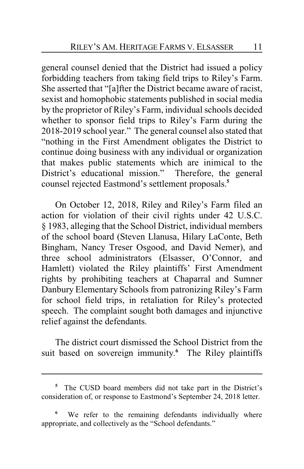general counsel denied that the District had issued a policy forbidding teachers from taking field trips to Riley's Farm. She asserted that "[a]fter the District became aware of racist, sexist and homophobic statements published in social media by the proprietor of Riley's Farm, individual schools decided whether to sponsor field trips to Riley's Farm during the 2018-2019 school year." The general counsel also stated that "nothing in the First Amendment obligates the District to continue doing business with any individual or organization that makes public statements which are inimical to the District's educational mission." Therefore, the general counsel rejected Eastmond's settlement proposals.**<sup>5</sup>**

On October 12, 2018, Riley and Riley's Farm filed an action for violation of their civil rights under 42 U.S.C. § 1983, alleging that the School District, individual members of the school board (Steven Llanusa, Hilary LaConte, Beth Bingham, Nancy Treser Osgood, and David Nemer), and three school administrators (Elsasser, O'Connor, and Hamlett) violated the Riley plaintiffs' First Amendment rights by prohibiting teachers at Chaparral and Sumner Danbury Elementary Schools from patronizing Riley's Farm for school field trips, in retaliation for Riley's protected speech. The complaint sought both damages and injunctive relief against the defendants.

The district court dismissed the School District from the suit based on sovereign immunity. **<sup>6</sup>** The Riley plaintiffs

**<sup>5</sup>** The CUSD board members did not take part in the District's consideration of, or response to Eastmond's September 24, 2018 letter.

We refer to the remaining defendants individually where appropriate, and collectively as the "School defendants."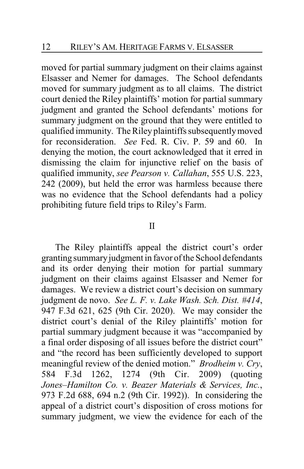moved for partial summary judgment on their claims against Elsasser and Nemer for damages. The School defendants moved for summary judgment as to all claims. The district court denied the Riley plaintiffs' motion for partial summary judgment and granted the School defendants' motions for summary judgment on the ground that they were entitled to qualified immunity. The Riley plaintiffs subsequentlymoved for reconsideration. *See* Fed. R. Civ. P. 59 and 60. In denying the motion, the court acknowledged that it erred in dismissing the claim for injunctive relief on the basis of qualified immunity, *see Pearson v. Callahan*, 555 U.S. 223, 242 (2009), but held the error was harmless because there was no evidence that the School defendants had a policy prohibiting future field trips to Riley's Farm.

#### II

The Riley plaintiffs appeal the district court's order granting summaryjudgment in favor of the School defendants and its order denying their motion for partial summary judgment on their claims against Elsasser and Nemer for damages. We review a district court's decision on summary judgment de novo. *See L. F. v. Lake Wash. Sch. Dist. #414*, 947 F.3d 621, 625 (9th Cir. 2020). We may consider the district court's denial of the Riley plaintiffs' motion for partial summary judgment because it was "accompanied by a final order disposing of all issues before the district court" and "the record has been sufficiently developed to support meaningful review of the denied motion." *Brodheim v. Cry*, 584 F.3d 1262, 1274 (9th Cir. 2009) (quoting *Jones–Hamilton Co. v. Beazer Materials & Services, Inc.*, 973 F.2d 688, 694 n.2 (9th Cir. 1992)). In considering the appeal of a district court's disposition of cross motions for summary judgment, we view the evidence for each of the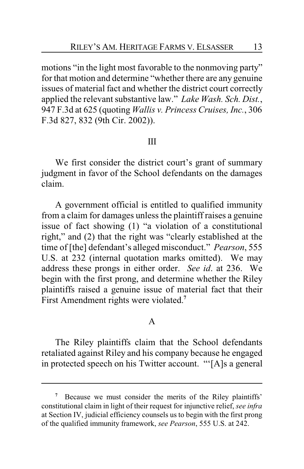motions "in the light most favorable to the nonmoving party" for that motion and determine "whether there are any genuine issues of material fact and whether the district court correctly applied the relevant substantive law." *Lake Wash. Sch. Dist.*, 947 F.3d at 625 (quoting *Wallis v. Princess Cruises, Inc.*, 306 F.3d 827, 832 (9th Cir. 2002)).

## III

We first consider the district court's grant of summary judgment in favor of the School defendants on the damages claim.

A government official is entitled to qualified immunity from a claim for damages unless the plaintiff raises a genuine issue of fact showing (1) "a violation of a constitutional right," and (2) that the right was "clearly established at the time of [the] defendant's alleged misconduct." *Pearson*, 555 U.S. at 232 (internal quotation marks omitted). We may address these prongs in either order. *See id*. at 236. We begin with the first prong, and determine whether the Riley plaintiffs raised a genuine issue of material fact that their First Amendment rights were violated.**<sup>7</sup>**

## A

The Riley plaintiffs claim that the School defendants retaliated against Riley and his company because he engaged in protected speech on his Twitter account. "'[A]s a general

**<sup>7</sup>** Because we must consider the merits of the Riley plaintiffs' constitutional claim in light of their request for injunctive relief, *see infra* at Section IV, judicial efficiency counsels us to begin with the first prong of the qualified immunity framework, *see Pearson*, 555 U.S. at 242.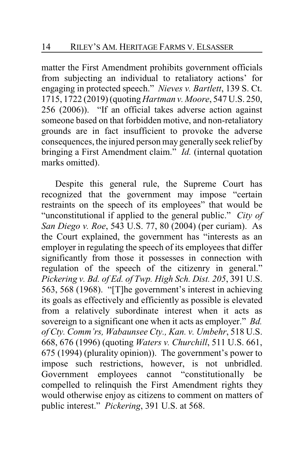matter the First Amendment prohibits government officials from subjecting an individual to retaliatory actions' for engaging in protected speech." *Nieves v. Bartlett*, 139 S. Ct. 1715, 1722 (2019) (quoting *Hartman v. Moore*, 547 U.S. 250, 256 (2006)). "If an official takes adverse action against someone based on that forbidden motive, and non-retaliatory grounds are in fact insufficient to provoke the adverse consequences, the injured person may generally seek relief by bringing a First Amendment claim." *Id.* (internal quotation marks omitted).

Despite this general rule, the Supreme Court has recognized that the government may impose "certain restraints on the speech of its employees" that would be "unconstitutional if applied to the general public." *City of San Diego v. Roe*, 543 U.S. 77, 80 (2004) (per curiam). As the Court explained, the government has "interests as an employer in regulating the speech of its employees that differ significantly from those it possesses in connection with regulation of the speech of the citizenry in general." *Pickering v. Bd. of Ed. of Twp. High Sch. Dist. 205*, 391 U.S. 563, 568 (1968). "[T]he government's interest in achieving its goals as effectively and efficiently as possible is elevated from a relatively subordinate interest when it acts as sovereign to a significant one when it acts as employer." *Bd. of Cty. Comm'rs, Wabaunsee Cty., Kan. v. Umbehr*, 518 U.S. 668, 676 (1996) (quoting *Waters v. Churchill*, 511 U.S. 661, 675 (1994) (plurality opinion)). The government's power to impose such restrictions, however, is not unbridled. Government employees cannot "constitutionally be compelled to relinquish the First Amendment rights they would otherwise enjoy as citizens to comment on matters of public interest." *Pickering*, 391 U.S. at 568.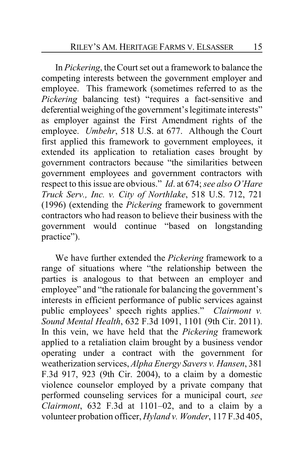In *Pickering*, the Court set out a framework to balance the competing interests between the government employer and employee. This framework (sometimes referred to as the *Pickering* balancing test) "requires a fact-sensitive and deferential weighing of the government's legitimate interests" as employer against the First Amendment rights of the employee. *Umbehr*, 518 U.S. at 677. Although the Court first applied this framework to government employees, it extended its application to retaliation cases brought by government contractors because "the similarities between government employees and government contractors with respect to this issue are obvious." *Id*. at 674; *see also O'Hare Truck Serv., Inc. v. City of Northlake*, 518 U.S. 712, 721 (1996) (extending the *Pickering* framework to government contractors who had reason to believe their business with the government would continue "based on longstanding practice").

We have further extended the *Pickering* framework to a range of situations where "the relationship between the parties is analogous to that between an employer and employee" and "the rationale for balancing the government's interests in efficient performance of public services against public employees' speech rights applies." *Clairmont v. Sound Mental Health*, 632 F.3d 1091, 1101 (9th Cir. 2011). In this vein, we have held that the *Pickering* framework applied to a retaliation claim brought by a business vendor operating under a contract with the government for weatherization services, *Alpha Energy Savers v. Hansen*, 381 F.3d 917, 923 (9th Cir. 2004), to a claim by a domestic violence counselor employed by a private company that performed counseling services for a municipal court, *see Clairmont*, 632 F.3d at 1101–02, and to a claim by a volunteer probation officer, *Hyland v. Wonder*, 117 F.3d 405,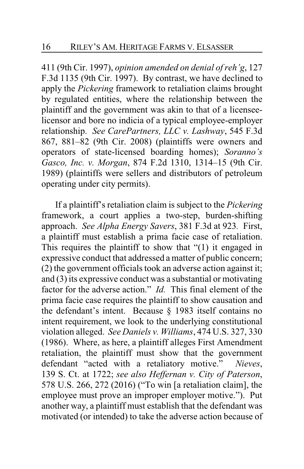411 (9th Cir. 1997), *opinion amended on denial of reh'g*, 127 F.3d 1135 (9th Cir. 1997). By contrast, we have declined to apply the *Pickering* framework to retaliation claims brought by regulated entities, where the relationship between the plaintiff and the government was akin to that of a licenseelicensor and bore no indicia of a typical employee-employer relationship. *See CarePartners, LLC v. Lashway*, 545 F.3d 867, 881–82 (9th Cir. 2008) (plaintiffs were owners and operators of state-licensed boarding homes); *Soranno's Gasco, Inc. v. Morgan*, 874 F.2d 1310, 1314–15 (9th Cir. 1989) (plaintiffs were sellers and distributors of petroleum operating under city permits).

If a plaintiff's retaliation claim is subject to the *Pickering* framework, a court applies a two-step, burden-shifting approach. *See Alpha Energy Savers*, 381 F.3d at 923*.* First, a plaintiff must establish a prima facie case of retaliation. This requires the plaintiff to show that "(1) it engaged in expressive conduct that addressed a matter of public concern; (2) the government officials took an adverse action against it; and (3) its expressive conduct was a substantial or motivating factor for the adverse action." *Id.* This final element of the prima facie case requires the plaintiff to show causation and the defendant's intent. Because § 1983 itself contains no intent requirement, we look to the underlying constitutional violation alleged. *See Daniels v. Williams*, 474 U.S. 327, 330 (1986). Where, as here, a plaintiff alleges First Amendment retaliation, the plaintiff must show that the government defendant "acted with a retaliatory motive." *Nieves*, 139 S. Ct. at 1722; *see also Heffernan v. City of Paterson*, 578 U.S. 266, 272 (2016) ("To win [a retaliation claim], the employee must prove an improper employer motive."). Put another way, a plaintiff must establish that the defendant was motivated (or intended) to take the adverse action because of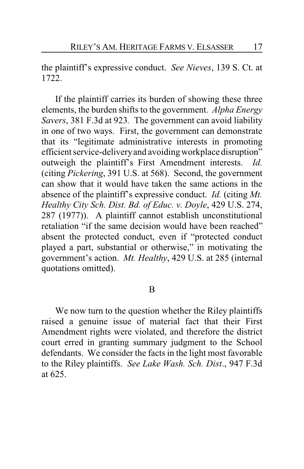the plaintiff's expressive conduct. *See Nieves*, 139 S. Ct. at 1722.

If the plaintiff carries its burden of showing these three elements, the burden shifts to the government. *Alpha Energy Savers*, 381 F.3d at 923*.* The government can avoid liability in one of two ways. First, the government can demonstrate that its "legitimate administrative interests in promoting efficient service-delivery and avoiding workplace disruption" outweigh the plaintiff's First Amendment interests. *Id.* (citing *Pickering*, 391 U.S. at 568). Second, the government can show that it would have taken the same actions in the absence of the plaintiff's expressive conduct. *Id.* (citing *Mt. Healthy City Sch. Dist. Bd. of Educ. v. Doyle*, 429 U.S. 274, 287 (1977)). A plaintiff cannot establish unconstitutional retaliation "if the same decision would have been reached" absent the protected conduct, even if "protected conduct played a part, substantial or otherwise," in motivating the government's action. *Mt. Healthy*, 429 U.S. at 285 (internal quotations omitted).

#### B

We now turn to the question whether the Riley plaintiffs raised a genuine issue of material fact that their First Amendment rights were violated, and therefore the district court erred in granting summary judgment to the School defendants. We consider the facts in the light most favorable to the Riley plaintiffs. *See Lake Wash. Sch. Dist*., 947 F.3d at 625.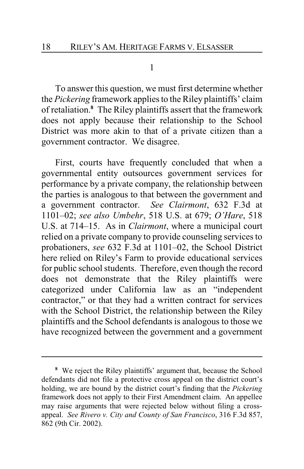1

To answer this question, we must first determine whether the *Pickering* framework applies to the Riley plaintiffs' claim of retaliation.**<sup>8</sup>** The Riley plaintiffs assert that the framework does not apply because their relationship to the School District was more akin to that of a private citizen than a government contractor. We disagree.

First, courts have frequently concluded that when a governmental entity outsources government services for performance by a private company, the relationship between the parties is analogous to that between the government and a government contractor. *See Clairmont*, 632 F.3d at 1101–02; *see also Umbehr*, 518 U.S. at 679; *O'Hare*, 518 U.S. at 714–15. As in *Clairmont*, where a municipal court relied on a private company to provide counseling services to probationers, *see* 632 F.3d at 1101–02, the School District here relied on Riley's Farm to provide educational services for public school students. Therefore, even though the record does not demonstrate that the Riley plaintiffs were categorized under California law as an "independent contractor," or that they had a written contract for services with the School District, the relationship between the Riley plaintiffs and the School defendants is analogous to those we have recognized between the government and a government

**<sup>8</sup>** We reject the Riley plaintiffs' argument that, because the School defendants did not file a protective cross appeal on the district court's holding, we are bound by the district court's finding that the *Pickering* framework does not apply to their First Amendment claim. An appellee may raise arguments that were rejected below without filing a crossappeal. *See Rivero v. City and County of San Francisco*, 316 F.3d 857, 862 (9th Cir. 2002).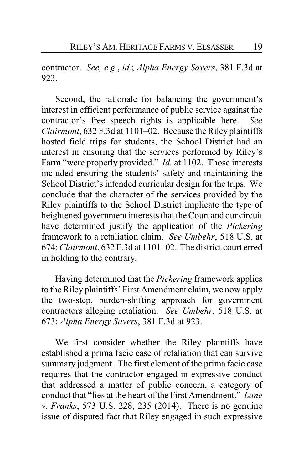contractor. *See, e.g.*, *id.*; *Alpha Energy Savers*, 381 F.3d at 923.

Second, the rationale for balancing the government's interest in efficient performance of public service against the contractor's free speech rights is applicable here. *See Clairmont*, 632 F.3d at 1101–02. Because the Riley plaintiffs hosted field trips for students, the School District had an interest in ensuring that the services performed by Riley's Farm "were properly provided." *Id.* at 1102. Those interests included ensuring the students' safety and maintaining the School District's intended curricular design for the trips. We conclude that the character of the services provided by the Riley plaintiffs to the School District implicate the type of heightened government interests that the Court and our circuit have determined justify the application of the *Pickering* framework to a retaliation claim. *See Umbehr*, 518 U.S. at 674; *Clairmont*, 632 F.3d at 1101–02. The district court erred in holding to the contrary.

Having determined that the *Pickering* framework applies to the Riley plaintiffs' First Amendment claim, we now apply the two-step, burden-shifting approach for government contractors alleging retaliation. *See Umbehr*, 518 U.S. at 673; *Alpha Energy Savers*, 381 F.3d at 923.

We first consider whether the Riley plaintiffs have established a prima facie case of retaliation that can survive summary judgment. The first element of the prima facie case requires that the contractor engaged in expressive conduct that addressed a matter of public concern, a category of conduct that "lies at the heart of the First Amendment." *Lane v. Franks*, 573 U.S. 228, 235 (2014). There is no genuine issue of disputed fact that Riley engaged in such expressive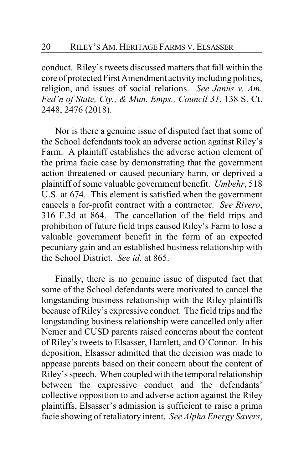conduct. Riley's tweets discussed matters that fall within the core of protected First Amendment activity including politics, religion, and issues of social relations. *See Janus v. Am. Fed'n of State, Cty., & Mun. Emps., Council 31*, 138 S. Ct. 2448, 2476 (2018).

Nor is there a genuine issue of disputed fact that some of the School defendants took an adverse action against Riley's Farm. A plaintiff establishes the adverse action element of the prima facie case by demonstrating that the government action threatened or caused pecuniary harm, or deprived a plaintiff of some valuable government benefit. *Umbehr*, 518 U.S. at 674. This element is satisfied when the government cancels a for-profit contract with a contractor. *See Rivero*, 316 F.3d at 864. The cancellation of the field trips and prohibition of future field trips caused Riley's Farm to lose a valuable government benefit in the form of an expected pecuniary gain and an established business relationship with the School District. *See id.* at 865.

Finally, there is no genuine issue of disputed fact that some of the School defendants were motivated to cancel the longstanding business relationship with the Riley plaintiffs because of Riley's expressive conduct. The field trips and the longstanding business relationship were cancelled only after Nemer and CUSD parents raised concerns about the content of Riley's tweets to Elsasser, Hamlett, and O'Connor. In his deposition, Elsasser admitted that the decision was made to appease parents based on their concern about the content of Riley's speech. When coupled with the temporal relationship between the expressive conduct and the defendants' collective opposition to and adverse action against the Riley plaintiffs, Elsasser's admission is sufficient to raise a prima facie showing of retaliatory intent. *See Alpha Energy Savers*,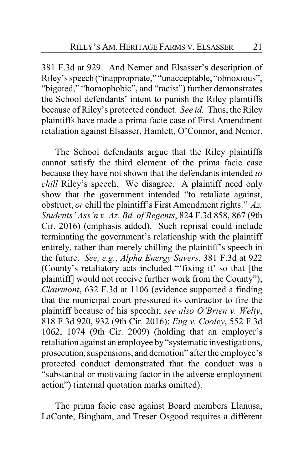381 F.3d at 929. And Nemer and Elsasser's description of Riley's speech ("inappropriate," "unacceptable, "obnoxious", "bigoted," "homophobic", and "racist") further demonstrates the School defendants' intent to punish the Riley plaintiffs because of Riley's protected conduct. *See id.* Thus, the Riley plaintiffs have made a prima facie case of First Amendment retaliation against Elsasser, Hamlett, O'Connor, and Nemer.

The School defendants argue that the Riley plaintiffs cannot satisfy the third element of the prima facie case because they have not shown that the defendants intended *to chill* Riley's speech. We disagree. A plaintiff need only show that the government intended "to retaliate against, obstruct, *or* chill the plaintiff's First Amendment rights." *Az. Students' Ass'n v. Az. Bd. of Regents*, 824 F.3d 858, 867 (9th Cir. 2016) (emphasis added). Such reprisal could include terminating the government's relationship with the plaintiff entirely, rather than merely chilling the plaintiff's speech in the future. *See, e.g.*, *Alpha Energy Savers*, 381 F.3d at 922 (County's retaliatory acts included "'fixing it' so that [the plaintiff] would not receive further work from the County"); *Clairmont*, 632 F.3d at 1106 (evidence supported a finding that the municipal court pressured its contractor to fire the plaintiff because of his speech); *see also O'Brien v. Welty*, 818 F.3d 920, 932 (9th Cir. 2016); *Eng v. Cooley*, 552 F.3d 1062, 1074 (9th Cir. 2009) (holding that an employer's retaliation against an employee by "systematic investigations, prosecution, suspensions, and demotion" after the employee's protected conduct demonstrated that the conduct was a "substantial or motivating factor in the adverse employment action") (internal quotation marks omitted).

The prima facie case against Board members Llanusa, LaConte, Bingham, and Treser Osgood requires a different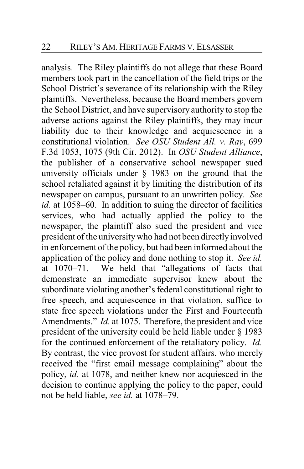analysis. The Riley plaintiffs do not allege that these Board members took part in the cancellation of the field trips or the School District's severance of its relationship with the Riley plaintiffs. Nevertheless, because the Board members govern the School District, and have supervisory authority to stop the adverse actions against the Riley plaintiffs, they may incur liability due to their knowledge and acquiescence in a constitutional violation. *See OSU Student All. v. Ray*, 699 F.3d 1053, 1075 (9th Cir. 2012). In *OSU Student Alliance*, the publisher of a conservative school newspaper sued university officials under § 1983 on the ground that the school retaliated against it by limiting the distribution of its newspaper on campus, pursuant to an unwritten policy. *See id.* at 1058–60. In addition to suing the director of facilities services, who had actually applied the policy to the newspaper, the plaintiff also sued the president and vice president of the universitywho had not been directly involved in enforcement of the policy, but had been informed about the application of the policy and done nothing to stop it. *See id.* at 1070–71. We held that "allegations of facts that demonstrate an immediate supervisor knew about the subordinate violating another's federal constitutional right to free speech, and acquiescence in that violation, suffice to state free speech violations under the First and Fourteenth Amendments." *Id.* at 1075. Therefore, the president and vice president of the university could be held liable under § 1983 for the continued enforcement of the retaliatory policy. *Id.* By contrast, the vice provost for student affairs, who merely received the "first email message complaining" about the policy, *id.* at 1078, and neither knew nor acquiesced in the decision to continue applying the policy to the paper, could not be held liable, *see id.* at 1078–79.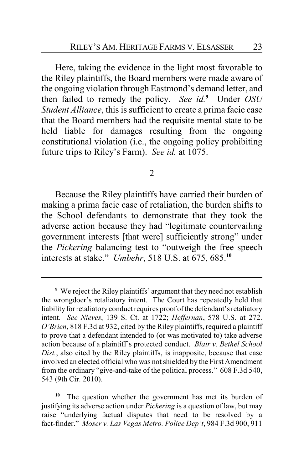Here, taking the evidence in the light most favorable to the Riley plaintiffs, the Board members were made aware of the ongoing violation through Eastmond's demand letter, and then failed to remedy the policy. *See id.***<sup>9</sup>** Under *OSU Student Alliance*, this is sufficient to create a prima facie case that the Board members had the requisite mental state to be held liable for damages resulting from the ongoing constitutional violation (i.e., the ongoing policy prohibiting future trips to Riley's Farm). *See id.* at 1075.

2

Because the Riley plaintiffs have carried their burden of making a prima facie case of retaliation, the burden shifts to the School defendants to demonstrate that they took the adverse action because they had "legitimate countervailing government interests [that were] sufficiently strong" under the *Pickering* balancing test to "outweigh the free speech interests at stake." *Umbehr*, 518 U.S. at 675, 685.**<sup>10</sup>**

The question whether the government has met its burden of justifying its adverse action under *Pickering* is a question of law, but may raise "underlying factual disputes that need to be resolved by a fact-finder." *Moser v. Las Vegas Metro. Police Dep't*, 984 F.3d 900, 911

**<sup>9</sup>** We reject the Riley plaintiffs' argument that they need not establish the wrongdoer's retaliatory intent. The Court has repeatedly held that liability for retaliatory conduct requires proof of the defendant's retaliatory intent. *See Nieves*, 139 S. Ct. at 1722; *Heffernan*, 578 U.S. at 272. *O'Brien*, 818 F.3d at 932, cited by the Riley plaintiffs, required a plaintiff to prove that a defendant intended to (or was motivated to) take adverse action because of a plaintiff's protected conduct. *Blair v. Bethel School Dist.*, also cited by the Riley plaintiffs, is inapposite, because that case involved an elected official who was not shielded by the First Amendment from the ordinary "give-and-take of the political process." 608 F.3d 540, 543 (9th Cir. 2010).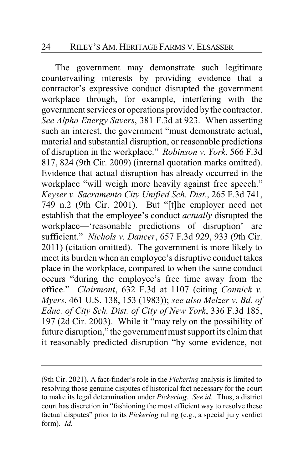The government may demonstrate such legitimate countervailing interests by providing evidence that a contractor's expressive conduct disrupted the government workplace through, for example, interfering with the government services or operations provided bythe contractor. *See Alpha Energy Savers*, 381 F.3d at 923. When asserting such an interest, the government "must demonstrate actual, material and substantial disruption, or reasonable predictions of disruption in the workplace." *Robinson v. York*, 566 F.3d 817, 824 (9th Cir. 2009) (internal quotation marks omitted). Evidence that actual disruption has already occurred in the workplace "will weigh more heavily against free speech." *Keyser v. Sacramento City Unified Sch. Dist.*, 265 F.3d 741, 749 n.2 (9th Cir. 2001). But "[t]he employer need not establish that the employee's conduct *actually* disrupted the workplace—'reasonable predictions of disruption' are sufficient." *Nichols v. Dancer*, 657 F.3d 929, 933 (9th Cir. 2011) (citation omitted). The government is more likely to meet its burden when an employee's disruptive conduct takes place in the workplace, compared to when the same conduct occurs "during the employee's free time away from the office." *Clairmont*, 632 F.3d at 1107 (citing *Connick v. Myers*, 461 U.S. 138, 153 (1983)); *see also Melzer v. Bd. of Educ. of City Sch. Dist. of City of New York*, 336 F.3d 185, 197 (2d Cir. 2003). While it "may rely on the possibility of future disruption," the government must support its claim that it reasonably predicted disruption "by some evidence, not

<sup>(9</sup>th Cir. 2021). A fact-finder's role in the *Pickering* analysis is limited to resolving those genuine disputes of historical fact necessary for the court to make its legal determination under *Pickering*. *See id.* Thus, a district court has discretion in "fashioning the most efficient way to resolve these factual disputes" prior to its *Pickering* ruling (e.g., a special jury verdict form). *Id.*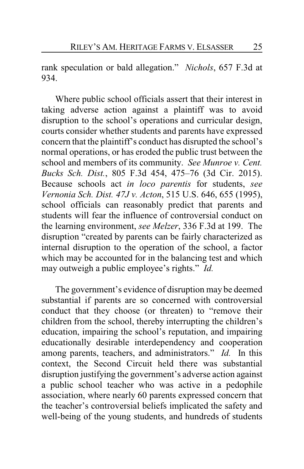rank speculation or bald allegation." *Nichols*, 657 F.3d at 934.

Where public school officials assert that their interest in taking adverse action against a plaintiff was to avoid disruption to the school's operations and curricular design, courts consider whether students and parents have expressed concern that the plaintiff's conduct has disrupted the school's normal operations, or has eroded the public trust between the school and members of its community. *See Munroe v. Cent. Bucks Sch. Dist.*, 805 F.3d 454, 475–76 (3d Cir. 2015). Because schools act *in loco parentis* for students, *see Vernonia Sch. Dist. 47J v. Acton*, 515 U.S. 646, 655 (1995), school officials can reasonably predict that parents and students will fear the influence of controversial conduct on the learning environment, *see Melzer*, 336 F.3d at 199. The disruption "created by parents can be fairly characterized as internal disruption to the operation of the school, a factor which may be accounted for in the balancing test and which may outweigh a public employee's rights." *Id.*

The government's evidence of disruption may be deemed substantial if parents are so concerned with controversial conduct that they choose (or threaten) to "remove their children from the school, thereby interrupting the children's education, impairing the school's reputation, and impairing educationally desirable interdependency and cooperation among parents, teachers, and administrators." *Id.* In this context, the Second Circuit held there was substantial disruption justifying the government's adverse action against a public school teacher who was active in a pedophile association, where nearly 60 parents expressed concern that the teacher's controversial beliefs implicated the safety and well-being of the young students, and hundreds of students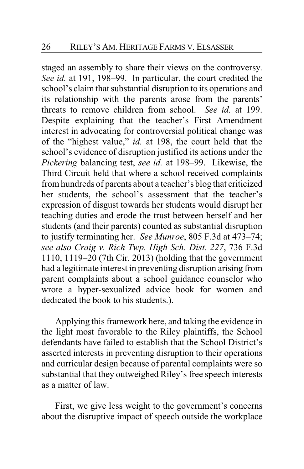staged an assembly to share their views on the controversy. *See id.* at 191, 198–99. In particular, the court credited the school's claim that substantial disruption to its operations and its relationship with the parents arose from the parents' threats to remove children from school. *See id.* at 199. Despite explaining that the teacher's First Amendment interest in advocating for controversial political change was of the "highest value," *id.* at 198, the court held that the school's evidence of disruption justified its actions under the *Pickering* balancing test, *see id.* at 198–99. Likewise, the Third Circuit held that where a school received complaints from hundreds of parents about a teacher's blog that criticized her students, the school's assessment that the teacher's expression of disgust towards her students would disrupt her teaching duties and erode the trust between herself and her students (and their parents) counted as substantial disruption to justify terminating her. *See Munroe*, 805 F.3d at 473–74; *see also Craig v. Rich Twp. High Sch. Dist. 227*, 736 F.3d 1110, 1119–20 (7th Cir. 2013) (holding that the government had a legitimate interest in preventing disruption arising from parent complaints about a school guidance counselor who wrote a hyper-sexualized advice book for women and dedicated the book to his students.).

Applying this framework here, and taking the evidence in the light most favorable to the Riley plaintiffs, the School defendants have failed to establish that the School District's asserted interests in preventing disruption to their operations and curricular design because of parental complaints were so substantial that they outweighed Riley's free speech interests as a matter of law.

First, we give less weight to the government's concerns about the disruptive impact of speech outside the workplace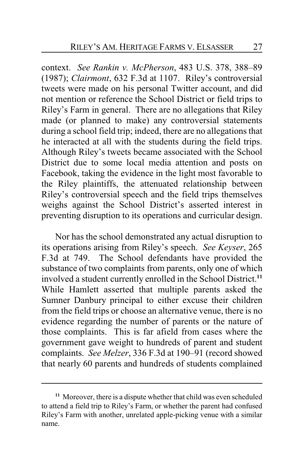context. *See Rankin v. McPherson*, 483 U.S. 378, 388–89 (1987); *Clairmont*, 632 F.3d at 1107. Riley's controversial tweets were made on his personal Twitter account, and did not mention or reference the School District or field trips to Riley's Farm in general. There are no allegations that Riley made (or planned to make) any controversial statements during a school field trip; indeed, there are no allegations that he interacted at all with the students during the field trips. Although Riley's tweets became associated with the School District due to some local media attention and posts on Facebook, taking the evidence in the light most favorable to the Riley plaintiffs, the attenuated relationship between Riley's controversial speech and the field trips themselves weighs against the School District's asserted interest in preventing disruption to its operations and curricular design.

Nor has the school demonstrated any actual disruption to its operations arising from Riley's speech. *See Keyser*, 265 F.3d at 749. The School defendants have provided the substance of two complaints from parents, only one of which involved a student currently enrolled in the School District.**<sup>11</sup>** While Hamlett asserted that multiple parents asked the Sumner Danbury principal to either excuse their children from the field trips or choose an alternative venue, there is no evidence regarding the number of parents or the nature of those complaints. This is far afield from cases where the government gave weight to hundreds of parent and student complaints. *See Melzer*, 336 F.3d at 190–91 (record showed that nearly 60 parents and hundreds of students complained

**<sup>11</sup>** Moreover, there is a dispute whether that child was even scheduled to attend a field trip to Riley's Farm, or whether the parent had confused Riley's Farm with another, unrelated apple-picking venue with a similar name.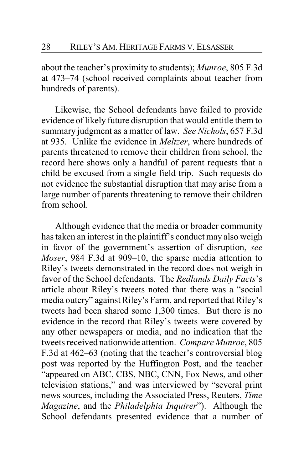about the teacher's proximity to students); *Munroe*, 805 F.3d at 473–74 (school received complaints about teacher from hundreds of parents).

Likewise, the School defendants have failed to provide evidence of likely future disruption that would entitle them to summary judgment as a matter of law. *See Nichols*, 657 F.3d at 935. Unlike the evidence in *Meltzer*, where hundreds of parents threatened to remove their children from school, the record here shows only a handful of parent requests that a child be excused from a single field trip. Such requests do not evidence the substantial disruption that may arise from a large number of parents threatening to remove their children from school.

Although evidence that the media or broader community has taken an interest in the plaintiff's conduct may also weigh in favor of the government's assertion of disruption, *see Moser*, 984 F.3d at 909–10, the sparse media attention to Riley's tweets demonstrated in the record does not weigh in favor of the School defendants. The *Redlands Daily Facts*'s article about Riley's tweets noted that there was a "social media outcry" against Riley's Farm, and reported that Riley's tweets had been shared some 1,300 times. But there is no evidence in the record that Riley's tweets were covered by any other newspapers or media, and no indication that the tweets received nationwide attention. *Compare Munroe*, 805 F.3d at 462–63 (noting that the teacher's controversial blog post was reported by the Huffington Post, and the teacher "appeared on ABC, CBS, NBC, CNN, Fox News, and other television stations," and was interviewed by "several print news sources, including the Associated Press, Reuters, *Time Magazine*, and the *Philadelphia Inquirer*"). Although the School defendants presented evidence that a number of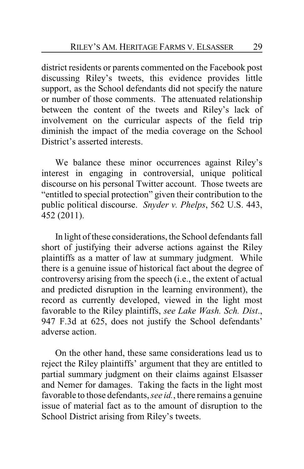district residents or parents commented on the Facebook post discussing Riley's tweets, this evidence provides little support, as the School defendants did not specify the nature or number of those comments. The attenuated relationship between the content of the tweets and Riley's lack of involvement on the curricular aspects of the field trip diminish the impact of the media coverage on the School District's asserted interests.

We balance these minor occurrences against Riley's interest in engaging in controversial, unique political discourse on his personal Twitter account. Those tweets are "entitled to special protection" given their contribution to the public political discourse. *Snyder v. Phelps*, 562 U.S. 443, 452 (2011).

In light of these considerations, the School defendants fall short of justifying their adverse actions against the Riley plaintiffs as a matter of law at summary judgment. While there is a genuine issue of historical fact about the degree of controversy arising from the speech (i.e., the extent of actual and predicted disruption in the learning environment), the record as currently developed, viewed in the light most favorable to the Riley plaintiffs, *see Lake Wash. Sch. Dist*., 947 F.3d at 625, does not justify the School defendants' adverse action.

On the other hand, these same considerations lead us to reject the Riley plaintiffs' argument that they are entitled to partial summary judgment on their claims against Elsasser and Nemer for damages. Taking the facts in the light most favorable to those defendants, *see id.*, there remains a genuine issue of material fact as to the amount of disruption to the School District arising from Riley's tweets.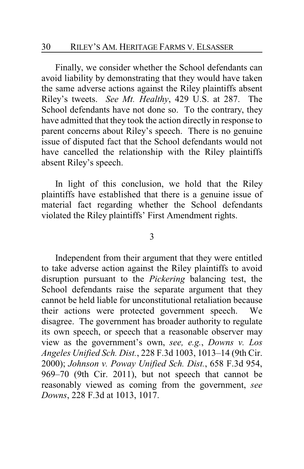Finally, we consider whether the School defendants can avoid liability by demonstrating that they would have taken the same adverse actions against the Riley plaintiffs absent Riley's tweets. *See Mt. Healthy*, 429 U.S. at 287. The School defendants have not done so. To the contrary, they have admitted that they took the action directly in response to parent concerns about Riley's speech. There is no genuine issue of disputed fact that the School defendants would not have cancelled the relationship with the Riley plaintiffs absent Riley's speech.

In light of this conclusion, we hold that the Riley plaintiffs have established that there is a genuine issue of material fact regarding whether the School defendants violated the Riley plaintiffs' First Amendment rights.

#### 3

Independent from their argument that they were entitled to take adverse action against the Riley plaintiffs to avoid disruption pursuant to the *Pickering* balancing test, the School defendants raise the separate argument that they cannot be held liable for unconstitutional retaliation because their actions were protected government speech. We disagree. The government has broader authority to regulate its own speech, or speech that a reasonable observer may view as the government's own, *see, e.g.*, *Downs v. Los Angeles Unified Sch. Dist.*, 228 F.3d 1003, 1013–14 (9th Cir. 2000); *Johnson v. Poway Unified Sch. Dist.*, 658 F.3d 954, 969–70 (9th Cir. 2011), but not speech that cannot be reasonably viewed as coming from the government, *see Downs*, 228 F.3d at 1013, 1017.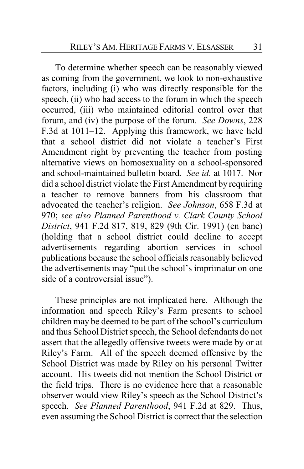To determine whether speech can be reasonably viewed as coming from the government, we look to non-exhaustive factors, including (i) who was directly responsible for the speech, (ii) who had access to the forum in which the speech occurred, (iii) who maintained editorial control over that forum, and (iv) the purpose of the forum. *See Downs*, 228 F.3d at 1011–12. Applying this framework, we have held that a school district did not violate a teacher's First Amendment right by preventing the teacher from posting alternative views on homosexuality on a school-sponsored and school-maintained bulletin board. *See id.* at 1017. Nor did a school district violate the First Amendment by requiring a teacher to remove banners from his classroom that advocated the teacher's religion. *See Johnson*, 658 F.3d at 970; *see also Planned Parenthood v. Clark County School District*, 941 F.2d 817, 819, 829 (9th Cir. 1991) (en banc) (holding that a school district could decline to accept advertisements regarding abortion services in school publications because the school officials reasonably believed the advertisements may "put the school's imprimatur on one side of a controversial issue").

These principles are not implicated here. Although the information and speech Riley's Farm presents to school children may be deemed to be part of the school's curriculum and thus School District speech, the School defendants do not assert that the allegedly offensive tweets were made by or at Riley's Farm. All of the speech deemed offensive by the School District was made by Riley on his personal Twitter account. His tweets did not mention the School District or the field trips. There is no evidence here that a reasonable observer would view Riley's speech as the School District's speech. *See Planned Parenthood*, 941 F.2d at 829. Thus, even assuming the School District is correct that the selection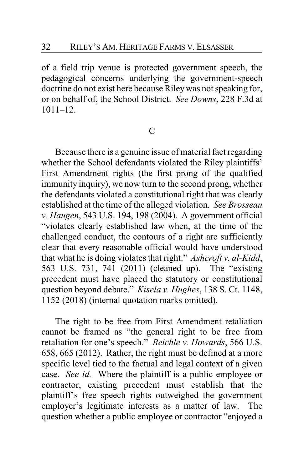of a field trip venue is protected government speech, the pedagogical concerns underlying the government-speech doctrine do not exist here because Rileywas not speaking for, or on behalf of, the School District. *See Downs*, 228 F.3d at  $1011 - 12$ .

## $\mathcal{C}$

Because there is a genuine issue of material fact regarding whether the School defendants violated the Riley plaintiffs' First Amendment rights (the first prong of the qualified immunity inquiry), we now turn to the second prong, whether the defendants violated a constitutional right that was clearly established at the time of the alleged violation. *See Brosseau v. Haugen*, 543 U.S. 194, 198 (2004). A government official "violates clearly established law when, at the time of the challenged conduct, the contours of a right are sufficiently clear that every reasonable official would have understood that what he is doing violates that right." *Ashcroft v. al-Kidd*, 563 U.S. 731, 741 (2011) (cleaned up). The "existing precedent must have placed the statutory or constitutional question beyond debate." *Kisela v. Hughes*, 138 S. Ct. 1148, 1152 (2018) (internal quotation marks omitted).

The right to be free from First Amendment retaliation cannot be framed as "the general right to be free from retaliation for one's speech." *Reichle v. Howards*, 566 U.S. 658, 665 (2012). Rather, the right must be defined at a more specific level tied to the factual and legal context of a given case. *See id.* Where the plaintiff is a public employee or contractor, existing precedent must establish that the plaintiff's free speech rights outweighed the government employer's legitimate interests as a matter of law. The question whether a public employee or contractor "enjoyed a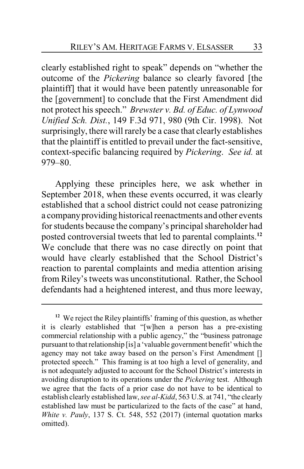clearly established right to speak" depends on "whether the outcome of the *Pickering* balance so clearly favored [the plaintiff] that it would have been patently unreasonable for the [government] to conclude that the First Amendment did not protect his speech." *Brewster v. Bd. of Educ. of Lynwood Unified Sch. Dist.*, 149 F.3d 971, 980 (9th Cir. 1998). Not surprisingly, there will rarely be a case that clearly establishes that the plaintiff is entitled to prevail under the fact-sensitive, context-specific balancing required by *Pickering*. *See id.* at 979–80.

Applying these principles here, we ask whether in September 2018, when these events occurred, it was clearly established that a school district could not cease patronizing a companyproviding historical reenactments and other events for students because the company's principal shareholder had posted controversial tweets that led to parental complaints.**<sup>12</sup>** We conclude that there was no case directly on point that would have clearly established that the School District's reaction to parental complaints and media attention arising from Riley's tweets was unconstitutional. Rather, the School defendants had a heightened interest, and thus more leeway,

**<sup>12</sup>** We reject the Riley plaintiffs' framing of this question, as whether it is clearly established that "[w]hen a person has a pre-existing commercial relationship with a public agency," the "business patronage pursuant to that relationship [is] a 'valuable government benefit' which the agency may not take away based on the person's First Amendment [] protected speech." This framing is at too high a level of generality, and is not adequately adjusted to account for the School District's interests in avoiding disruption to its operations under the *Pickering* test. Although we agree that the facts of a prior case do not have to be identical to establish clearly established law, *see al-Kidd*, 563 U.S. at 741, "the clearly established law must be particularized to the facts of the case" at hand, *White v. Pauly*, 137 S. Ct. 548, 552 (2017) (internal quotation marks omitted).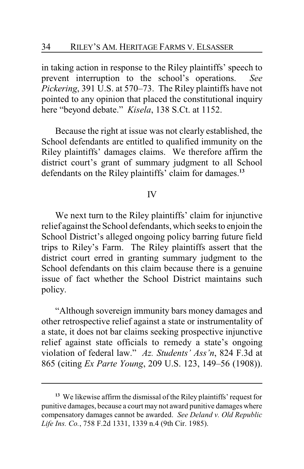in taking action in response to the Riley plaintiffs' speech to prevent interruption to the school's operations. *See Pickering*, 391 U.S. at 570–73. The Riley plaintiffs have not pointed to any opinion that placed the constitutional inquiry here "beyond debate." *Kisela*, 138 S.Ct. at 1152.

Because the right at issue was not clearly established, the School defendants are entitled to qualified immunity on the Riley plaintiffs' damages claims. We therefore affirm the district court's grant of summary judgment to all School defendants on the Riley plaintiffs' claim for damages.**<sup>13</sup>**

#### IV

We next turn to the Riley plaintiffs' claim for injunctive relief against the School defendants, which seeks to enjoin the School District's alleged ongoing policy barring future field trips to Riley's Farm. The Riley plaintiffs assert that the district court erred in granting summary judgment to the School defendants on this claim because there is a genuine issue of fact whether the School District maintains such policy.

"Although sovereign immunity bars money damages and other retrospective relief against a state or instrumentality of a state, it does not bar claims seeking prospective injunctive relief against state officials to remedy a state's ongoing violation of federal law." *Az. Students' Ass'n*, 824 F.3d at 865 (citing *Ex Parte Young*, 209 U.S. 123, 149–56 (1908)).

**<sup>13</sup>** We likewise affirm the dismissal of the Riley plaintiffs' request for punitive damages, because a court may not award punitive damages where compensatory damages cannot be awarded. *See Deland v. Old Republic Life Ins. Co.*, 758 F.2d 1331, 1339 n.4 (9th Cir. 1985).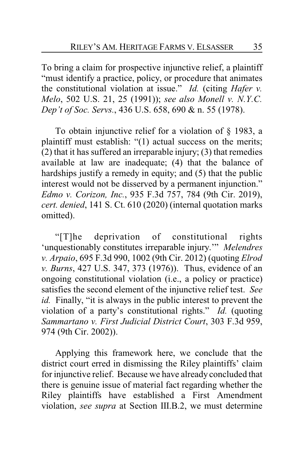To bring a claim for prospective injunctive relief, a plaintiff "must identify a practice, policy, or procedure that animates the constitutional violation at issue." *Id.* (citing *Hafer v. Melo*, 502 U.S. 21, 25 (1991)); *see also Monell v. N.Y.C. Dep't of Soc. Servs.*, 436 U.S. 658, 690 & n. 55 (1978).

To obtain injunctive relief for a violation of § 1983, a plaintiff must establish: "(1) actual success on the merits; (2) that it has suffered an irreparable injury; (3) that remedies available at law are inadequate; (4) that the balance of hardships justify a remedy in equity; and (5) that the public interest would not be disserved by a permanent injunction." *Edmo v. Corizon, Inc.*, 935 F.3d 757, 784 (9th Cir. 2019), *cert. denied*, 141 S. Ct. 610 (2020) (internal quotation marks omitted).

"[T]he deprivation of constitutional rights 'unquestionably constitutes irreparable injury.'" *Melendres v. Arpaio*, 695 F.3d 990, 1002 (9th Cir. 2012) (quoting *Elrod v. Burns*, 427 U.S. 347, 373 (1976)). Thus, evidence of an ongoing constitutional violation (i.e., a policy or practice) satisfies the second element of the injunctive relief test. *See id.* Finally, "it is always in the public interest to prevent the violation of a party's constitutional rights." *Id.* (quoting *Sammartano v. First Judicial District Court*, 303 F.3d 959, 974 (9th Cir. 2002)).

Applying this framework here, we conclude that the district court erred in dismissing the Riley plaintiffs' claim for injunctive relief. Because we have already concluded that there is genuine issue of material fact regarding whether the Riley plaintiffs have established a First Amendment violation, *see supra* at Section III.B.2, we must determine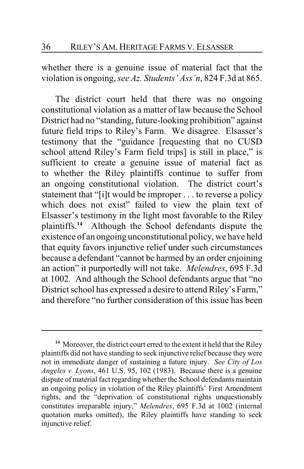whether there is a genuine issue of material fact that the violation is ongoing, *see Az. Students' Ass'n*, 824 F.3d at 865.

The district court held that there was no ongoing constitutional violation as a matter of law because the School District had no "standing, future-looking prohibition" against future field trips to Riley's Farm. We disagree. Elsasser's testimony that the "guidance [requesting that no CUSD school attend Riley's Farm field trips] is still in place," is sufficient to create a genuine issue of material fact as to whether the Riley plaintiffs continue to suffer from an ongoing constitutional violation. The district court's statement that "[i]t would be improper . . . to reverse a policy which does not exist" failed to view the plain text of Elsasser's testimony in the light most favorable to the Riley plaintiffs.**<sup>14</sup>** Although the School defendants dispute the existence of an ongoing unconstitutional policy, we have held that equity favors injunctive relief under such circumstances because a defendant "cannot be harmed by an order enjoining an action" it purportedly will not take. *Melendres*, 695 F.3d at 1002*.* And although the School defendants argue that "no District school has expressed a desire to attend Riley's Farm," and therefore "no further consideration of this issue has been

**<sup>14</sup>** Moreover, the district court erred to the extent it held that the Riley plaintiffs did not have standing to seek injunctive relief because they were not in immediate danger of sustaining a future injury. *See City of Los Angeles v. Lyons*, 461 U.S. 95, 102 (1983). Because there is a genuine dispute of material fact regarding whether the School defendants maintain an ongoing policy in violation of the Riley plaintiffs' First Amendment rights, and the "deprivation of constitutional rights unquestionably constitutes irreparable injury," *Melendres*, 695 F.3d at 1002 (internal quotation marks omitted), the Riley plaintiffs have standing to seek injunctive relief.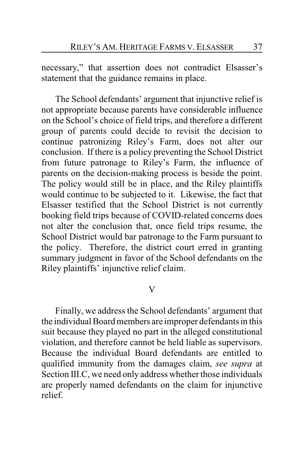necessary," that assertion does not contradict Elsasser's statement that the guidance remains in place.

The School defendants' argument that injunctive relief is not appropriate because parents have considerable influence on the School's choice of field trips, and therefore a different group of parents could decide to revisit the decision to continue patronizing Riley's Farm, does not alter our conclusion. If there is a policy preventing the School District from future patronage to Riley's Farm, the influence of parents on the decision-making process is beside the point. The policy would still be in place, and the Riley plaintiffs would continue to be subjected to it. Likewise, the fact that Elsasser testified that the School District is not currently booking field trips because of COVID-related concerns does not alter the conclusion that, once field trips resume, the School District would bar patronage to the Farm pursuant to the policy. Therefore, the district court erred in granting summary judgment in favor of the School defendants on the Riley plaintiffs' injunctive relief claim.

V

Finally, we address the School defendants' argument that the individual Board members are improper defendants in this suit because they played no part in the alleged constitutional violation, and therefore cannot be held liable as supervisors. Because the individual Board defendants are entitled to qualified immunity from the damages claim, *see supra* at Section III.C, we need only address whether those individuals are properly named defendants on the claim for injunctive relief.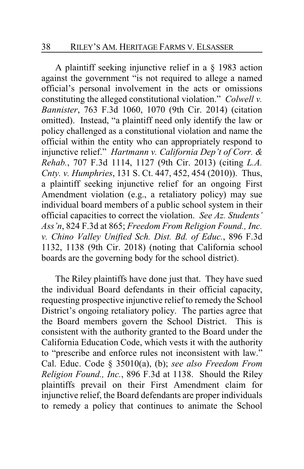A plaintiff seeking injunctive relief in a § 1983 action against the government "is not required to allege a named official's personal involvement in the acts or omissions constituting the alleged constitutional violation." *Colwell v. Bannister*, 763 F.3d 1060, 1070 (9th Cir. 2014) (citation omitted). Instead, "a plaintiff need only identify the law or policy challenged as a constitutional violation and name the official within the entity who can appropriately respond to injunctive relief." *Hartmann v. California Dep't of Corr. & Rehab.*, 707 F.3d 1114, 1127 (9th Cir. 2013) (citing *L.A. Cnty. v. Humphries*, 131 S. Ct. 447, 452, 454 (2010)). Thus, a plaintiff seeking injunctive relief for an ongoing First Amendment violation (e.g., a retaliatory policy) may sue individual board members of a public school system in their official capacities to correct the violation. *See Az. Students' Ass'n*, 824 F.3d at 865; *Freedom From Religion Found., Inc. v. Chino Valley Unified Sch. Dist. Bd. of Educ.*, 896 F.3d 1132, 1138 (9th Cir. 2018) (noting that California school boards are the governing body for the school district).

The Riley plaintiffs have done just that. They have sued the individual Board defendants in their official capacity, requesting prospective injunctive relief to remedy the School District's ongoing retaliatory policy. The parties agree that the Board members govern the School District. This is consistent with the authority granted to the Board under the California Education Code, which vests it with the authority to "prescribe and enforce rules not inconsistent with law." Cal. Educ. Code § 35010(a), (b); *see also Freedom From Religion Found., Inc.*, 896 F.3d at 1138. Should the Riley plaintiffs prevail on their First Amendment claim for injunctive relief, the Board defendants are proper individuals to remedy a policy that continues to animate the School